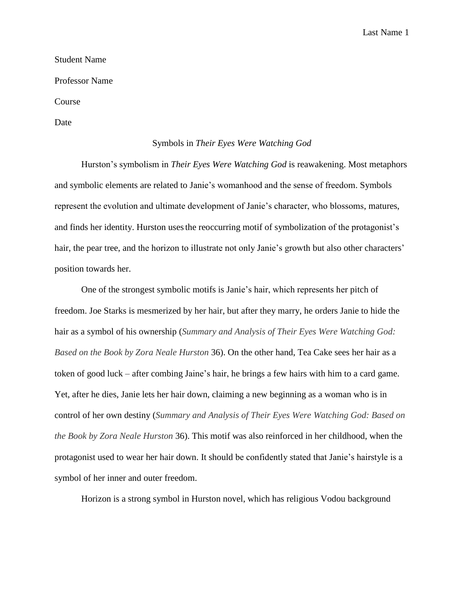Last Name 1

Student Name

Professor Name

Course

Date

## Symbols in *Their Eyes Were Watching God*

Hurston's symbolism in *Their Eyes Were Watching God* is reawakening. Most metaphors and symbolic elements are related to Janie's womanhood and the sense of freedom. Symbols represent the evolution and ultimate development of Janie's character, who blossoms, matures, and finds her identity. Hurston usesthe reoccurring motif of symbolization of the protagonist's hair, the pear tree, and the horizon to illustrate not only Janie's growth but also other characters' position towards her.

One of the strongest symbolic motifs is Janie's hair, which represents her pitch of freedom. Joe Starks is mesmerized by her hair, but after they marry, he orders Janie to hide the hair as a symbol of his ownership (*Summary and Analysis of Their Eyes Were Watching God: Based on the Book by Zora Neale Hurston* 36). On the other hand, Tea Cake sees her hair as a token of good luck – after combing Jaine's hair, he brings a few hairs with him to a card game. Yet, after he dies, Janie lets her hair down, claiming a new beginning as a woman who is in control of her own destiny (*Summary and Analysis of Their Eyes Were Watching God: Based on the Book by Zora Neale Hurston* 36). This motif was also reinforced in her childhood, when the protagonist used to wear her hair down. It should be confidently stated that Janie's hairstyle is a symbol of her inner and outer freedom.

Horizon is a strong symbol in Hurston novel, which has religious Vodou background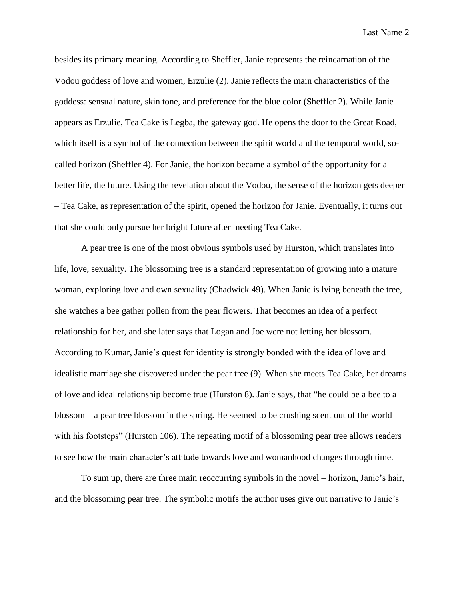Last Name 2

besides its primary meaning. According to Sheffler, Janie represents the reincarnation of the Vodou goddess of love and women, Erzulie (2). Janie reflects the main characteristics of the goddess: sensual nature, skin tone, and preference for the blue color (Sheffler 2). While Janie appears as Erzulie, Tea Cake is Legba, the gateway god. He opens the door to the Great Road, which itself is a symbol of the connection between the spirit world and the temporal world, socalled horizon (Sheffler 4). For Janie, the horizon became a symbol of the opportunity for a better life, the future. Using the revelation about the Vodou, the sense of the horizon gets deeper – Tea Cake, as representation of the spirit, opened the horizon for Janie. Eventually, it turns out that she could only pursue her bright future after meeting Tea Cake.

A pear tree is one of the most obvious symbols used by Hurston, which translates into life, love, sexuality. The blossoming tree is a standard representation of growing into a mature woman, exploring love and own sexuality (Chadwick 49). When Janie is lying beneath the tree, she watches a bee gather pollen from the pear flowers. That becomes an idea of a perfect relationship for her, and she later says that Logan and Joe were not letting her blossom. According to Kumar, Janie's quest for identity is strongly bonded with the idea of love and idealistic marriage she discovered under the pear tree (9). When she meets Tea Cake, her dreams of love and ideal relationship become true (Hurston 8). Janie says, that "he could be a bee to a blossom – a pear tree blossom in the spring. He seemed to be crushing scent out of the world with his footsteps" (Hurston 106). The repeating motif of a blossoming pear tree allows readers to see how the main character's attitude towards love and womanhood changes through time.

To sum up, there are three main reoccurring symbols in the novel – horizon, Janie's hair, and the blossoming pear tree. The symbolic motifs the author uses give out narrative to Janie's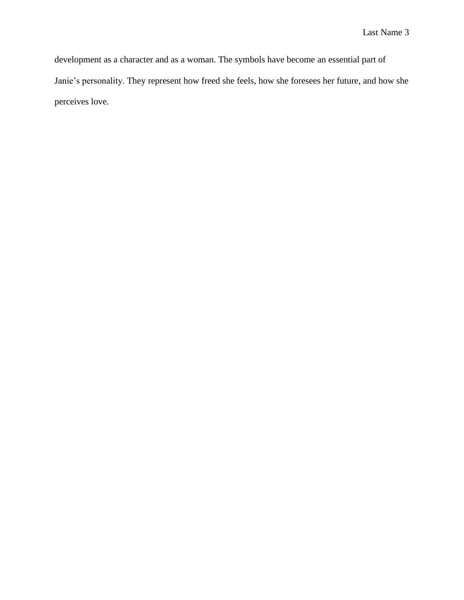development as a character and as a woman. The symbols have become an essential part of Janie's personality. They represent how freed she feels, how she foresees her future, and how she perceives love.